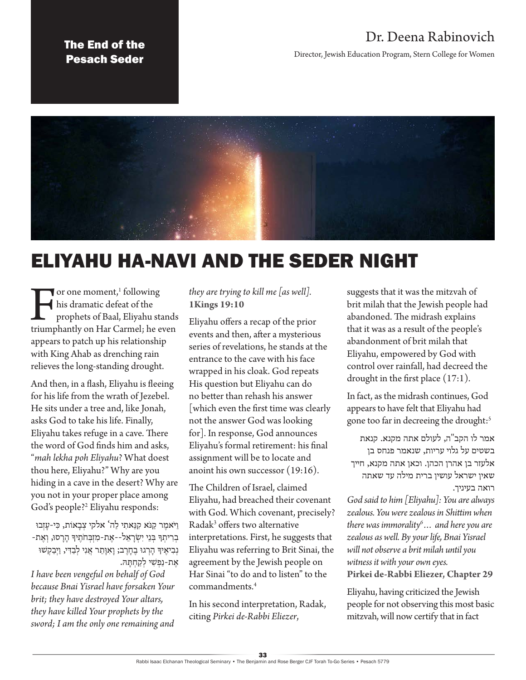### The End of the Pesach Seder

## Dr. Deena Rabinovich

Director, Jewish Education Program, Stern College for Women



# ELIYAHU HA-NAVI AND THE SEDER NIGHT

The or one moment,<sup>1</sup> following<br>his dramatic defeat of the<br>prophets of Baal, Eliyahu stands<br>triumphantly on Har Carmel; he even  $\bullet$  or one moment,<sup>1</sup> following his dramatic defeat of the prophets of Baal, Eliyahu stands appears to patch up his relationship with King Ahab as drenching rain relieves the long-standing drought.

And then, in a flash, Eliyahu is fleeing for his life from the wrath of Jezebel. He sits under a tree and, like Jonah, asks God to take his life. Finally, Eliyahu takes refuge in a cave. There the word of God finds him and asks, "*mah lekha poh Eliyahu*? What doest thou here, Eliyahu?" Why are you hiding in a cave in the desert? Why are you not in your proper place among God's people?2 Eliyahu responds:

וַיֹּאמֶר קַנֹּא קִנֵּאתִי לַה' אלקי צְבָאוֹת, כִּי-עַזְבוּ ּ בְרִיתְךָּ בְּנֵי יִשְׂרָאֵל--אֶת-מִזְּבְחֹתֶיךָּ הָרָסוּ, וְאֶת-נְבִיאֵיךְ הַרְגוּ בֶחָרֶב; וַאִוְּתֵר אֲנִי לְבַדִּי, וַיְבַקְשׁוּ אֶת-נַפְשִׁי לְקַחְתַּהּ.

*I have been vengeful on behalf of God because Bnai Yisrael have forsaken Your brit; they have destroyed Your altars, they have killed Your prophets by the sword; I am the only one remaining and*  *they are trying to kill me [as well].*  **1Kings 19:10**

Eliyahu offers a recap of the prior events and then, after a mysterious series of revelations, he stands at the entrance to the cave with his face wrapped in his cloak. God repeats His question but Eliyahu can do no better than rehash his answer [which even the first time was clearly not the answer God was looking for]. In response, God announces Eliyahu's formal retirement: his final assignment will be to locate and anoint his own successor (19:16).

The Children of Israel, claimed Eliyahu, had breached their covenant with God. Which covenant, precisely? Radak<sup>3</sup> offers two alternative interpretations. First, he suggests that Eliyahu was referring to Brit Sinai, the agreement by the Jewish people on Har Sinai "to do and to listen" to the commandments.4

In his second interpretation, Radak, citing *Pirkei de-Rabbi Eliezer*,

suggests that it was the mitzvah of brit milah that the Jewish people had abandoned. The midrash explains that it was as a result of the people's abandonment of brit milah that Eliyahu, empowered by God with control over rainfall, had decreed the drought in the first place (17:1).

In fact, as the midrash continues, God appears to have felt that Eliyahu had gone too far in decreeing the drought:<sup>5</sup>

אמר לו הקב"ה, לעולם אתה מקנא. קנאת בשטים על גלוי עריות, שנאמר פנחס בן אלעזר בן אהרן הכהן. וכאן אתה מקנא, חייך שאין ישראל עושין ברית מילה עד שאתה רואה בעיניך.

*God said to him [Eliyahu]: You are always zealous. You were zealous in Shittim when there was immorality6 … and here you are zealous as well. By your life, Bnai Yisrael will not observe a brit milah until you witness it with your own eyes.* **Pirkei de-Rabbi Eliezer, Chapter 29**

Eliyahu, having criticized the Jewish people for not observing this most basic mitzvah, will now certify that in fact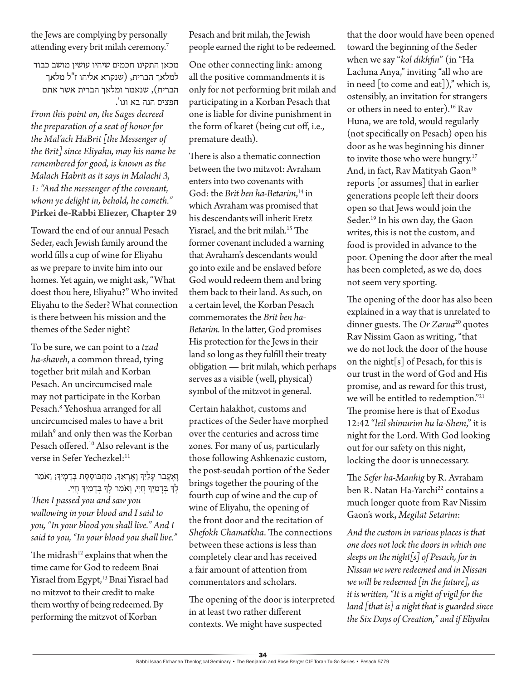the Jews are complying by personally attending every brit milah ceremony.<sup>7</sup>

מכאן התקינו חכמים שיהיו עושין מושב כבוד למלאך הברית, )שנקרא אליהו ז"ל מלאך הברית), שנאמר ומלאך הברית אשר אתם חפצים הנה בא וגו'.

*From this point on, the Sages decreed the preparation of a seat of honor for the Mal'ach HaBrit [the Messenger of the Brit] since Eliyahu, may his name be remembered for good, is known as the Malach Habrit as it says in Malachi 3, 1: "And the messenger of the covenant, whom ye delight in, behold, he cometh."*  **Pirkei de-Rabbi Eliezer, Chapter 29**

Toward the end of our annual Pesach Seder, each Jewish family around the world fills a cup of wine for Eliyahu as we prepare to invite him into our homes. Yet again, we might ask, "What doest thou here, Eliyahu?" Who invited Eliyahu to the Seder? What connection is there between his mission and the themes of the Seder night?

To be sure, we can point to a *tzad ha-shaveh*, a common thread, tying together brit milah and Korban Pesach. An uncircumcised male may not participate in the Korban Pesach.<sup>8</sup> Yehoshua arranged for all uncircumcised males to have a brit milah<sup>9</sup> and only then was the Korban Pesach offered.10 Also relevant is the verse in Sefer Yechezkel:<sup>11</sup>

וָאֶעֱבֹר עָלַיִךְ וָאֶרְאֵךְ, מִתְבּוֹסֶסֶת בְּדָמְיִךְ; וָאֹמַר לָךְ בְּדָמַיִךְ חֲיִי, וָאֹמַר לְךָ בְדָמַיִךְ חֲיִי. *Then I passed you and saw you wallowing in your blood and I said to you, "In your blood you shall live." And I said to you, "In your blood you shall live."*

The midrash $12$  explains that when the time came for God to redeem Bnai Yisrael from Egypt,<sup>13</sup> Bnai Yisrael had no mitzvot to their credit to make them worthy of being redeemed. By performing the mitzvot of Korban

Pesach and brit milah, the Jewish people earned the right to be redeemed.

One other connecting link: among all the positive commandments it is only for not performing brit milah and participating in a Korban Pesach that one is liable for divine punishment in the form of karet (being cut off, i.e., premature death).

There is also a thematic connection between the two mitzvot: Avraham enters into two covenants with God: the *Brit ben ha-Betarim*, 14 in which Avraham was promised that his descendants will inherit Eretz Yisrael, and the brit milah.<sup>15</sup> The former covenant included a warning that Avraham's descendants would go into exile and be enslaved before God would redeem them and bring them back to their land. As such, on a certain level, the Korban Pesach commemorates the *Brit ben ha-Betarim.* In the latter, God promises His protection for the Jews in their land so long as they fulfill their treaty obligation — brit milah, which perhaps serves as a visible (well, physical) symbol of the mitzvot in general.

Certain halakhot, customs and practices of the Seder have morphed over the centuries and across time zones. For many of us, particularly those following Ashkenazic custom, the post-seudah portion of the Seder brings together the pouring of the fourth cup of wine and the cup of wine of Eliyahu, the opening of the front door and the recitation of *Shefokh Chamatkha*. The connections between these actions is less than completely clear and has received a fair amount of attention from commentators and scholars.

The opening of the door is interpreted in at least two rather different contexts. We might have suspected

that the door would have been opened toward the beginning of the Seder when we say "*kol dikhfin*" (in "Ha Lachma Anya," inviting "all who are in need [to come and eat])," which is, ostensibly, an invitation for strangers or others in need to enter).<sup>16</sup> Rav Huna, we are told, would regularly (not specifically on Pesach) open his door as he was beginning his dinner to invite those who were hungry.<sup>17</sup> And, in fact, Rav Matityah Gaon<sup>18</sup> reports [or assumes] that in earlier generations people left their doors open so that Jews would join the Seder.<sup>19</sup> In his own day, the Gaon writes, this is not the custom, and food is provided in advance to the poor. Opening the door after the meal has been completed, as we do, does not seem very sporting.

The opening of the door has also been explained in a way that is unrelated to dinner guests. The *Or Zarua*<sup>20</sup> quotes Rav Nissim Gaon as writing, "that we do not lock the door of the house on the night  $[s]$  of Pesach, for this is our trust in the word of God and His promise, and as reward for this trust, we will be entitled to redemption."21 The promise here is that of Exodus 12:42 "*leil shimurim hu la-Shem*," it is night for the Lord. With God looking out for our safety on this night, locking the door is unnecessary.

The *Sefer ha-Manhig* by R. Avraham ben R. Natan Ha-Yarchi<sup>22</sup> contains a much longer quote from Rav Nissim Gaon's work, *Megilat Setarim*:

*And the custom in various places is that one does not lock the doors in which one sleeps on the night[s] of Pesach, for in Nissan we were redeemed and in Nissan we will be redeemed [in the future], as it is written, "It is a night of vigil for the land [that is] a night that is guarded since the Six Days of Creation," and if Eliyahu*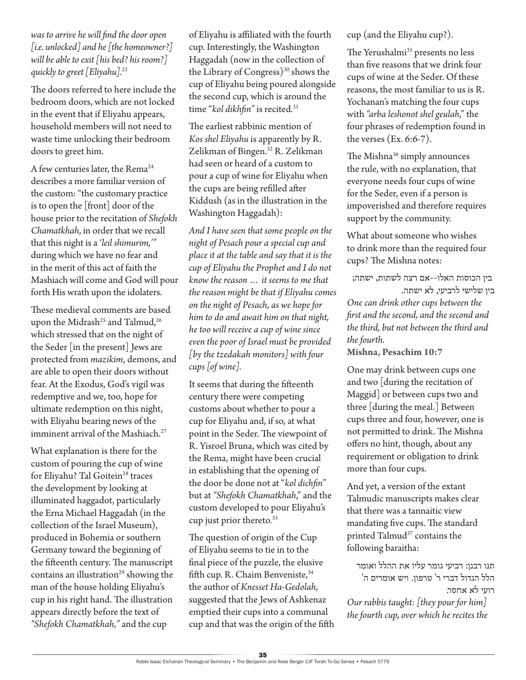*was to arrive he will find the door open [i.e. unlocked] and he [the homeowner?] will be able to exit [his bed? his room?] quickly to greet [Eliyahu].23*

The doors referred to here include the bedroom doors, which are not locked in the event that if Eliyahu appears, household members will not need to waste time unlocking their bedroom doors to greet him.

A few centuries later, the Rema<sup>24</sup> describes a more familiar version of the custom: "the customary practice is to open the [front] door of the house prior to the recitation of *Shefokh Chamatkhah*, in order that we recall that this night is a *'leil shimurim,'"* during which we have no fear and in the merit of this act of faith the Mashiach will come and God will pour forth His wrath upon the idolaters.

These medieval comments are based upon the Midrash<sup>25</sup> and Talmud,<sup>26</sup> which stressed that on the night of the Seder [in the present] Jews are protected from *mazikim*, demons, and are able to open their doors without fear. At the Exodus, God's vigil was redemptive and we, too, hope for ultimate redemption on this night, with Eliyahu bearing news of the imminent arrival of the Mashiach.<sup>27</sup>

What explanation is there for the custom of pouring the cup of wine for Eliyahu? Tal Goitein<sup>28</sup> traces the development by looking at illuminated haggadot, particularly the Erna Michael Haggadah (in the collection of the Israel Museum), produced in Bohemia or southern Germany toward the beginning of the fifteenth century. The manuscript contains an illustration<sup>29</sup> showing the man of the house holding Eliyahu's cup in his right hand. The illustration appears directly before the text of *"Shefokh Chamatkhah*,*"* and the cup

of Eliyahu is affiliated with the fourth cup. Interestingly, the Washington Haggadah (now in the collection of the Library of Congress $3^{30}$  shows the cup of Eliyahu being poured alongside the second cup, which is around the time "*kol dikhfin"* is recited*.* 31

The earliest rabbinic mention of *Kos shel Eliyahu* is apparently by R. Zelikman of Bingen.<sup>32</sup> R. Zelikman had seen or heard of a custom to pour a cup of wine for Eliyahu when the cups are being refilled after Kiddush (as in the illustration in the Washington Haggadah):

*And I have seen that some people on the night of Pesach pour a special cup and place it at the table and say that it is the cup of Eliyahu the Prophet and I do not know the reason … it seems to me that the reason might be that if Eliyahu comes on the night of Pesach, as we hope for him to do and await him on that night, he too will receive a cup of wine since even the poor of Israel must be provided [by the tzedakah monitors] with four cups [of wine].* 

It seems that during the fifteenth century there were competing customs about whether to pour a cup for Eliyahu and, if so, at what point in the Seder. The viewpoint of R. Yisroel Bruna, which was cited by the Rema, might have been crucial in establishing that the opening of the door be done not at "*kol dichfin*" but at *"Shefokh Chamatkhah*," and the custom developed to pour Eliyahu's cup just prior thereto.<sup>33</sup>

The question of origin of the Cup of Eliyahu seems to tie in to the final piece of the puzzle, the elusive fifth cup. R. Chaim Benveniste, 34 the author of *Knesset Ha-Gedolah*, suggested that the Jews of Ashkenaz emptied their cups into a communal cup and that was the origin of the fifth cup (and the Eliyahu cup?).

The Yerushalmi<sup>35</sup> presents no less than five reasons that we drink four cups of wine at the Seder. Of these reasons, the most familiar to us is R. Yochanan's matching the four cups with *"arba leshonot shel geulah*," the four phrases of redemption found in the verses (Ex. 6:6-7).

The Mishna<sup>36</sup> simply announces the rule, with no explanation, that everyone needs four cups of wine for the Seder, even if a person is impoverished and therefore requires support by the community.

What about someone who wishes to drink more than the required four cups? The Mishna notes:

 בין הכוסות האלו--אם רצה לשתות, ישתה; בין שלישי לרביעי, לא ישתה. *One can drink other cups between the first and the second, and the second and the third, but not between the third and the fourth.*

**Mishna, Pesachim 10:7**

One may drink between cups one and two [during the recitation of Maggid] or between cups two and three [during the meal.] Between cups three and four, however, one is not permitted to drink. The Mishna offers no hint, though, about any requirement or obligation to drink more than four cups.

And yet, a version of the extant Talmudic manuscripts makes clear that there was a tannaitic view mandating five cups. The standard printed Talmud<sup>37</sup> contains the following baraitha:

תנו רבנן: רביעי גומר עליו את ההלל ואומר הלל הגדול דברי ר' טרפון. ויש אומרים ה' רועי לא אחסר.

*Our rabbis taught: [they pour for him] the fourth cup, over which he recites the*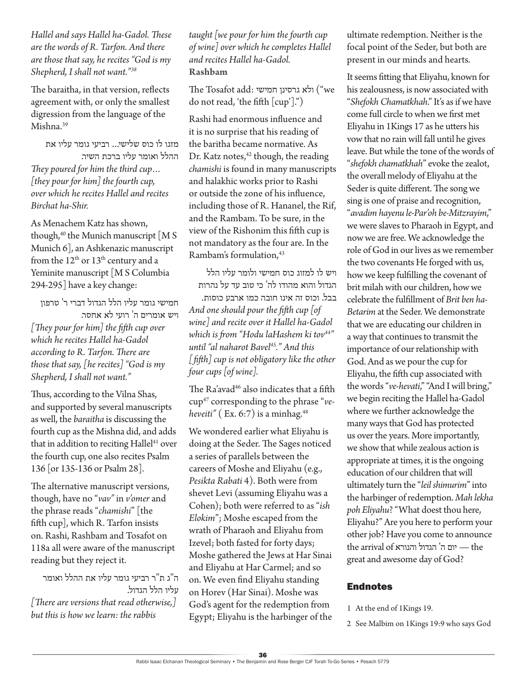#### *Hallel and says Hallel ha-Gadol. These are the words of R. Tarfon. And there are those that say, he recites "God is my Shepherd, I shall not want."38*

The baraitha, in that version, reflects agreement with, or only the smallest digression from the language of the Mishna.39

מזגו לו כוס שלישי... רביעי גומר עליו את ההלל ואומר עליו ברכת השיר. *They poured for him the third cup… [they pour for him] the fourth cup, over which he recites Hallel and recites Birchat ha-Shir.*

As Menachem Katz has shown, though,<sup>40</sup> the Munich manuscript [M S Munich 6], an Ashkenazic manuscript from the  $12<sup>th</sup>$  or  $13<sup>th</sup>$  century and a Yeminite manuscript [M S Columbia 294-295] have a key change:

חמישי גומר עליו הלל הגדול דברי ר' טרפון ויש אומרים ה' רועי לא אחסר. *[They pour for him] the fifth cup over which he recites Hallel ha-Gadol according to R. Tarfon. There are those that say, [he recites] "God is my Shepherd, I shall not want."*

Thus, according to the Vilna Shas, and supported by several manuscripts as well, the *baraitha* is discussing the fourth cup as the Mishna did, and adds that in addition to reciting Hallel<sup>41</sup> over the fourth cup, one also recites Psalm 136 [or 135-136 or Psalm 28].

The alternative manuscript versions, though, have no "*vav"* in *v'omer* and the phrase reads "*chamishi*" [the fifth cup], which R. Tarfon insists on. Rashi, Rashbam and Tosafot on 118a all were aware of the manuscript reading but they reject it.

ה"ג ת"ר רביעי גומר עליו את ההלל ואומר עליו הלל הגדול. *[There are versions that read otherwise,] but this is how we learn: the rabbis* 

*taught [we pour for him the fourth cup of wine] over which he completes Hallel and recites Hallel ha-Gadol.* **Rashbam**

The Tosafot add: ולא גרסינן חמישי ("we do not read, 'the fifth [cup'].")

Rashi had enormous influence and it is no surprise that his reading of the baritha became normative. As Dr. Katz notes,<sup>42</sup> though, the reading *chamishi* is found in many manuscripts and halakhic works prior to Rashi or outside the zone of his influence, including those of R. Hananel, the Rif, and the Rambam. To be sure, in the view of the Rishonim this fifth cup is not mandatory as the four are. In the Rambam's formulation,43

ויש לו למזוג כוס חמישי ולומר עליו הלל הגדול והוא מהודו לה' כי טוב עד על נהרות בבל. וכוס זה אינו חובה כמו ארבע כוסות. *And one should pour the fifth cup [of wine] and recite over it Hallel ha-Gadol which is from "Hodu laHashem ki tov44" until "al naharot Bavel45." And this [fifth] cup is not obligatory like the other four cups [of wine].*

The Ra'avad<sup>46</sup> also indicates that a fifth cup47 corresponding to the phrase "*veheveiti"* ( $Ex. 6:7$ ) is a minhag.<sup>48</sup>

We wondered earlier what Eliyahu is doing at the Seder. The Sages noticed a series of parallels between the careers of Moshe and Eliyahu (e.g., *Pesikta Rabati* 4). Both were from shevet Levi (assuming Eliyahu was a Cohen); both were referred to as "*ish Elokim*"; Moshe escaped from the wrath of Pharaoh and Eliyahu from Izevel; both fasted for forty days; Moshe gathered the Jews at Har Sinai and Eliyahu at Har Carmel; and so on. We even find Eliyahu standing on Horev (Har Sinai). Moshe was God's agent for the redemption from Egypt; Eliyahu is the harbinger of the ultimate redemption. Neither is the focal point of the Seder, but both are present in our minds and hearts.

It seems fitting that Eliyahu, known for his zealousness, is now associated with "*Shefokh Chamatkhah*." It's as if we have come full circle to when we first met Eliyahu in 1Kings 17 as he utters his vow that no rain will fall until he gives leave. But while the tone of the words of "*shefokh chamatkhah*" evoke the zealot, the overall melody of Eliyahu at the Seder is quite different. The song we sing is one of praise and recognition, "*avadim hayenu le-Par'oh be-Mitzrayim*," we were slaves to Pharaoh in Egypt, and now we are free. We acknowledge the role of God in our lives as we remember the two covenants He forged with us, how we keep fulfilling the covenant of brit milah with our children, how we celebrate the fulfillment of *Brit ben ha-Betarim* at the Seder. We demonstrate that we are educating our children in a way that continues to transmit the importance of our relationship with God. And as we pour the cup for Eliyahu, the fifth cup associated with the words "*ve-hevati*," "And I will bring," we begin reciting the Hallel ha-Gadol where we further acknowledge the many ways that God has protected us over the years. More importantly, we show that while zealous action is appropriate at times, it is the ongoing education of our children that will ultimately turn the "*leil shimurim*" into the harbinger of redemption. *Mah lekha poh Eliyahu*? "What doest thou here, Eliyahu?" Are you here to perform your other job? Have you come to announce  $\phi$ the arrival of הגדול והנורא  $-$  the great and awesome day of God?

### **Endnotes**

- 1 At the end of 1Kings 19.
- 2 See Malbim on 1Kings 19:9 who says God